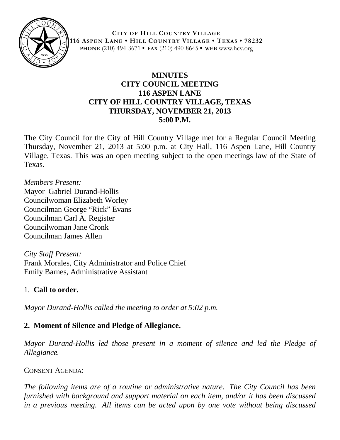

**CITY OF HILL COUNTRY VILLAGE 116 ASPEN LANE • HILL COUNTRY VILLAGE • TEXAS • 78232 PHONE** (210) 494-3671 **• FAX** (210) 490-8645 **• WEB** www.hcv.org

## **MINUTES CITY COUNCIL MEETING 116 ASPEN LANE CITY OF HILL COUNTRY VILLAGE, TEXAS THURSDAY, NOVEMBER 21, 2013 5:00 P.M.**

The City Council for the City of Hill Country Village met for a Regular Council Meeting Thursday, November 21, 2013 at 5:00 p.m. at City Hall, 116 Aspen Lane, Hill Country Village, Texas. This was an open meeting subject to the open meetings law of the State of Texas.

*Members Present:* Mayor Gabriel Durand-Hollis Councilwoman Elizabeth Worley Councilman George "Rick" Evans Councilman Carl A. Register Councilwoman Jane Cronk Councilman James Allen

*City Staff Present:* Frank Morales, City Administrator and Police Chief Emily Barnes, Administrative Assistant

## 1. **Call to order.**

*Mayor Durand-Hollis called the meeting to order at 5:02 p.m.*

# **2. Moment of Silence and Pledge of Allegiance.**

*Mayor Durand-Hollis led those present in a moment of silence and led the Pledge of Allegiance.*

## CONSENT AGENDA:

*The following items are of a routine or administrative nature. The City Council has been furnished with background and support material on each item, and/or it has been discussed in a previous meeting. All items can be acted upon by one vote without being discussed*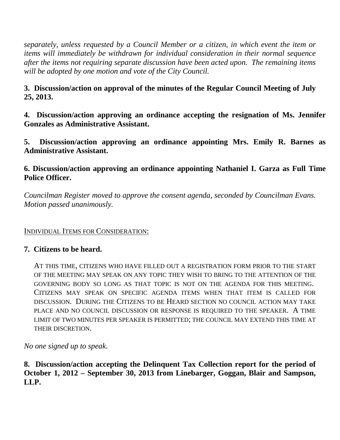*separately, unless requested by a Council Member or a citizen, in which event the item or items will immediately be withdrawn for individual consideration in their normal sequence after the items not requiring separate discussion have been acted upon. The remaining items will be adopted by one motion and vote of the City Council.*

## **3. Discussion/action on approval of the minutes of the Regular Council Meeting of July 25, 2013.**

**4. Discussion/action approving an ordinance accepting the resignation of Ms. Jennifer Gonzales as Administrative Assistant.**

**5. Discussion/action approving an ordinance appointing Mrs. Emily R. Barnes as Administrative Assistant.**

### **6. Discussion/action approving an ordinance appointing Nathaniel I. Garza as Full Time Police Officer.**

*Councilman Register moved to approve the consent agenda, seconded by Councilman Evans. Motion passed unanimously.*

#### INDIVIDUAL ITEMS FOR CONSIDERATION:

#### **7. Citizens to be heard.**

AT THIS TIME, CITIZENS WHO HAVE FILLED OUT A REGISTRATION FORM PRIOR TO THE START OF THE MEETING MAY SPEAK ON ANY TOPIC THEY WISH TO BRING TO THE ATTENTION OF THE GOVERNING BODY SO LONG AS THAT TOPIC IS NOT ON THE AGENDA FOR THIS MEETING. CITIZENS MAY SPEAK ON SPECIFIC AGENDA ITEMS WHEN THAT ITEM IS CALLED FOR DISCUSSION. DURING THE CITIZENS TO BE HEARD SECTION NO COUNCIL ACTION MAY TAKE PLACE AND NO COUNCIL DISCUSSION OR RESPONSE IS REQUIRED TO THE SPEAKER. A TIME LIMIT OF TWO MINUTES PER SPEAKER IS PERMITTED; THE COUNCIL MAY EXTEND THIS TIME AT THEIR DISCRETION.

*No one signed up to speak*.

**8. Discussion/action accepting the Delinquent Tax Collection report for the period of October 1, 2012 – September 30, 2013 from Linebarger, Goggan, Blair and Sampson, LLP.**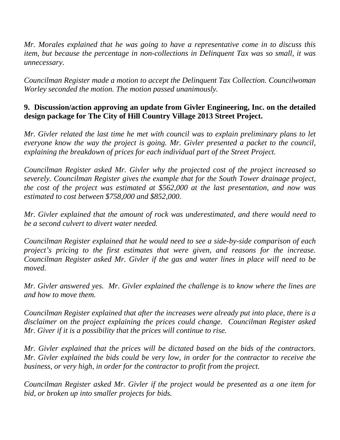*Mr. Morales explained that he was going to have a representative come in to discuss this item, but because the percentage in non-collections in Delinquent Tax was so small, it was unnecessary.*

*Councilman Register made a motion to accept the Delinquent Tax Collection. Councilwoman Worley seconded the motion. The motion passed unanimously.*

## **9. Discussion/action approving an update from Givler Engineering, Inc. on the detailed design package for The City of Hill Country Village 2013 Street Project.**

*Mr. Givler related the last time he met with council was to explain preliminary plans to let everyone know the way the project is going. Mr. Givler presented a packet to the council, explaining the breakdown of prices for each individual part of the Street Project.*

*Councilman Register asked Mr. Givler why the projected cost of the project increased so severely. Councilman Register gives the example that for the South Tower drainage project, the cost of the project was estimated at \$562,000 at the last presentation, and now was estimated to cost between \$758,000 and \$852,000.*

*Mr. Givler explained that the amount of rock was underestimated, and there would need to be a second culvert to divert water needed.*

*Councilman Register explained that he would need to see a side-by-side comparison of each project's pricing to the first estimates that were given, and reasons for the increase. Councilman Register asked Mr. Givler if the gas and water lines in place will need to be moved.*

*Mr. Givler answered yes. Mr. Givler explained the challenge is to know where the lines are and how to move them.*

*Councilman Register explained that after the increases were already put into place, there is a disclaimer on the project explaining the prices could change. Councilman Register asked Mr. Giver if it is a possibility that the prices will continue to rise.*

*Mr. Givler explained that the prices will be dictated based on the bids of the contractors. Mr. Givler explained the bids could be very low, in order for the contractor to receive the business, or very high, in order for the contractor to profit from the project.*

*Councilman Register asked Mr. Givler if the project would be presented as a one item for bid, or broken up into smaller projects for bids.*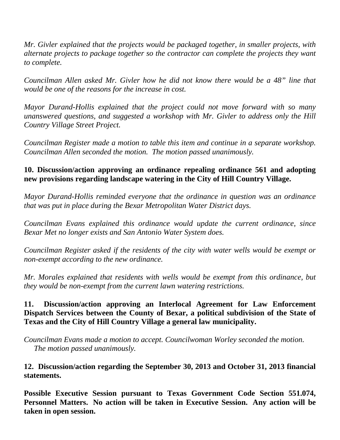*Mr. Givler explained that the projects would be packaged together, in smaller projects, with alternate projects to package together so the contractor can complete the projects they want to complete.*

*Councilman Allen asked Mr. Givler how he did not know there would be a 48" line that would be one of the reasons for the increase in cost.*

*Mayor Durand-Hollis explained that the project could not move forward with so many unanswered questions, and suggested a workshop with Mr. Givler to address only the Hill Country Village Street Project.* 

*Councilman Register made a motion to table this item and continue in a separate workshop. Councilman Allen seconded the motion. The motion passed unanimously.*

## **10. Discussion/action approving an ordinance repealing ordinance 561 and adopting new provisions regarding landscape watering in the City of Hill Country Village.**

*Mayor Durand-Hollis reminded everyone that the ordinance in question was an ordinance that was put in place during the Bexar Metropolitan Water District days.*

*Councilman Evans explained this ordinance would update the current ordinance, since Bexar Met no longer exists and San Antonio Water System does.*

*Councilman Register asked if the residents of the city with water wells would be exempt or non-exempt according to the new ordinance.*

*Mr. Morales explained that residents with wells would be exempt from this ordinance, but they would be non-exempt from the current lawn watering restrictions.*

### **11. Discussion/action approving an Interlocal Agreement for Law Enforcement Dispatch Services between the County of Bexar, a political subdivision of the State of Texas and the City of Hill Country Village a general law municipality.**

*Councilman Evans made a motion to accept. Councilwoman Worley seconded the motion. The motion passed unanimously.*

#### **12. Discussion/action regarding the September 30, 2013 and October 31, 2013 financial statements.**

**Possible Executive Session pursuant to Texas Government Code Section 551.074, Personnel Matters. No action will be taken in Executive Session. Any action will be taken in open session.**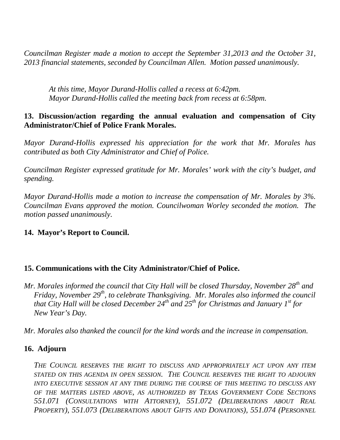*Councilman Register made a motion to accept the September 31,2013 and the October 31, 2013 financial statements, seconded by Councilman Allen. Motion passed unanimously.*

*At this time, Mayor Durand-Hollis called a recess at 6:42pm. Mayor Durand-Hollis called the meeting back from recess at 6:58pm.*

#### **13. Discussion/action regarding the annual evaluation and compensation of City Administrator/Chief of Police Frank Morales.**

*Mayor Durand-Hollis expressed his appreciation for the work that Mr. Morales has contributed as both City Administrator and Chief of Police.* 

*Councilman Register expressed gratitude for Mr. Morales' work with the city's budget, and spending.*

*Mayor Durand-Hollis made a motion to increase the compensation of Mr. Morales by 3%. Councilman Evans approved the motion. Councilwoman Worley seconded the motion. The motion passed unanimously.*

#### **14. Mayor's Report to Council.**

#### **15. Communications with the City Administrator/Chief of Police.**

*Mr. Morales informed the council that City Hall will be closed Thursday, November 28th and Friday, November 29th, to celebrate Thanksgiving. Mr. Morales also informed the council that City Hall will be closed December 24th and 25th for Christmas and January 1st for New Year's Day.*

*Mr. Morales also thanked the council for the kind words and the increase in compensation.*

#### **16. Adjourn**

*THE COUNCIL RESERVES THE RIGHT TO DISCUSS AND APPROPRIATELY ACT UPON ANY ITEM*  STATED ON THIS AGENDA IN OPEN SESSION. THE COUNCIL RESERVES THE RIGHT TO ADJOURN *INTO EXECUTIVE SESSION AT ANY TIME DURING THE COURSE OF THIS MEETING TO DISCUSS ANY OF THE MATTERS LISTED ABOVE, AS AUTHORIZED BY TEXAS GOVERNMENT CODE SECTIONS 551.071 (CONSULTATIONS WITH ATTORNEY), 551.072 (DELIBERATIONS ABOUT REAL PROPERTY), 551.073 (DELIBERATIONS ABOUT GIFTS AND DONATIONS), 551.074 (PERSONNEL*